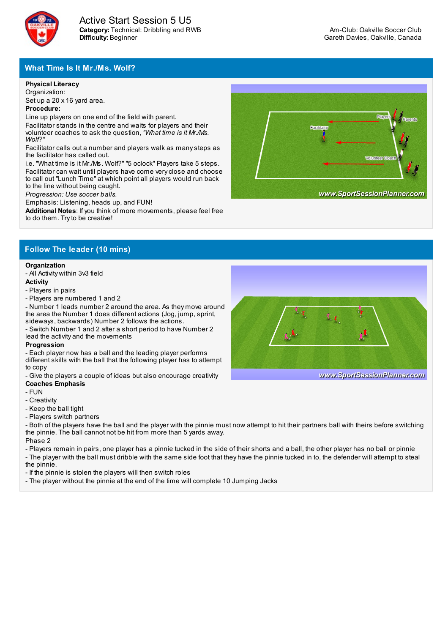

### **What Time Is It Mr./Ms. Wolf?**

#### **Physical Literacy**

Organization: Set up a 20 x 16 yard area.

#### **Procedure:**

Line up players on one end of the field with parent. Facilitator stands in the centre and waits for players and their volunteer coaches to ask the question, *"What time is it Mr./Ms. Wolf?"*

Facilitator calls out a number and players walk as manysteps as the facilitator has called out.

i.e. "What time is it Mr./Ms. Wolf?" "5 oclock" Players take 5 steps. Facilitator can wait until players have come veryclose and choose to call out "Lunch Time" at which point all players would run back to the line without being caught.

*Progression: Use soccer balls.*

Emphasis: Listening, heads up, and FUN!

**Additional Notes**: If you think of more movements, please feel free to do them. Tryto be creative!



### **Follow The leader (10 mins)**

# **Organization**

- All Activity within 3v3 field **Activity**

## - Players in pairs

- Players are numbered 1 and 2

- Number 1 leads number 2 around the area. As they move around the area the Number 1 does different actions (Jog, jump, sprint, sideways, backwards) Number 2 follows the actions.

- Switch Number 1 and 2 after a short period to have Number 2 lead the activity and the movements

#### **Progression**

- Each player now has a ball and the leading player performs different skills with the ball that the following player has to attempt to copy

- Give the players a couple of ideas but also encourage creativity **Coaches Emphasis**

#### - FUN

- Creativity
- Keep the ball tight
- Players switch partners

- Both of the players have the ball and the player with the pinnie must now attempt to hit their partners ball with theirs before switching the pinnie. The ball cannot not be hit from more than 5 yards away.

Phase 2

- Players remain in pairs, one player has a pinnie tucked in the side of their shorts and a ball, the other player has no ball or pinnie

- The player with the ball must dribble with the same side foot that they have the pinnie tucked in to, the defender will attempt to steal the pinnie.

- If the pinnie is stolen the players will then switch roles
- The player without the pinnie at the end of the time will complete 10 Jumping Jacks